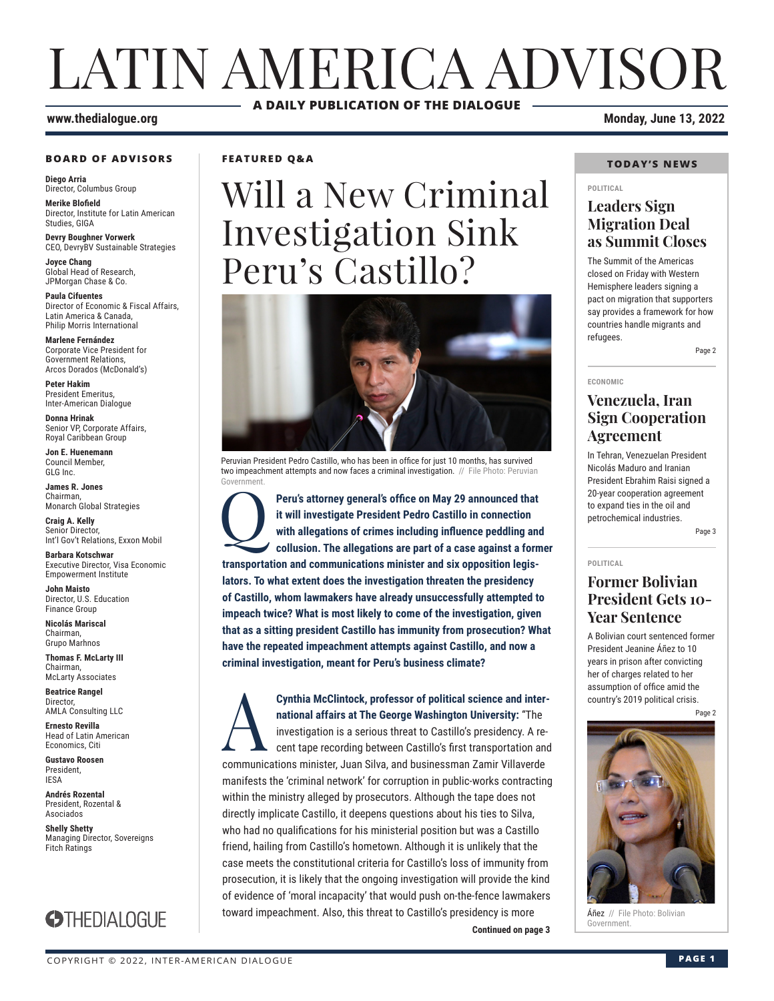# LATIN AMERICA ADVISOR **A DAILY PUBLICATION OF THE DIALOGUE**

#### **www.thedialogue.org Monday, June 13, 2022**

#### **BOARD OF ADVISORS**

**Diego Arria** Director, Columbus Group

**Merike Blofield** Director, Institute for Latin American Studies, GIGA

**Devry Boughner Vorwerk** CEO, DevryBV Sustainable Strategies

**Joyce Chang** Global Head of Research, JPMorgan Chase & Co.

**Paula Cifuentes** Director of Economic & Fiscal Affairs, Latin America & Canada, Philip Morris International

**Marlene Fernández** Corporate Vice President for Government Relations, Arcos Dorados (McDonald's)

**Peter Hakim** President Emeritus, Inter-American Dialogue

**Donna Hrinak** Senior VP, Corporate Affairs, Royal Caribbean Group

**Jon E. Huenemann** Council Member, GLG Inc.

**James R. Jones** Chairman, Monarch Global Strategies

**Craig A. Kelly** Senior Director, Int'l Gov't Relations, Exxon Mobil

**Barbara Kotschwar** Executive Director, Visa Economic Empowerment Institute

**John Maisto** Director, U.S. Education Finance Group

**Nicolás Mariscal** Chairman, Grupo Marhnos

**Thomas F. McLarty III** Chairman, McLarty Associates

**Beatrice Rangel**  Director, AMLA Consulting LLC

**Ernesto Revilla**  Head of Latin American

Economics, Citi **Gustavo Roosen** President, IESA

**Andrés Rozental**  President, Rozental & Asociados

**Shelly Shetty** Managing Director, Sovereigns Fitch Ratings



**FEATURED Q&A**

# Will a New Criminal Investigation Sink Peru's Castillo?



Peruvian President Pedro Castillo, who has been in office for just 10 months, has survived two impeachment attempts and now faces a criminal investigation. // File Photo: Peruvian Government.

**Peru's attorney general's office on May 29 announced that it will investigate President Pedro Castillo in connection with allegations of crimes including influence peddling and collusion. The allegations are part of a cas it will investigate President Pedro Castillo in connection with allegations of crimes including influence peddling and transportation and communications minister and six opposition legislators. To what extent does the investigation threaten the presidency of Castillo, whom lawmakers have already unsuccessfully attempted to impeach twice? What is most likely to come of the investigation, given that as a sitting president Castillo has immunity from prosecution? What have the repeated impeachment attempts against Castillo, and now a criminal investigation, meant for Peru's business climate?**

#### **Continued on page 3 Cynthia McClintock, professor of political science and inter-<br>
national affairs at The George Washington University: "The<br>
investigation is a serious threat to Castillo's presidency. A re-<br>
cent tape recording between Cas national affairs at The George Washington University:** "The investigation is a serious threat to Castillo's presidency. A recent tape recording between Castillo's first transportation and communications minister, Juan Silva, and businessman Zamir Villaverde manifests the 'criminal network' for corruption in public-works contracting within the ministry alleged by prosecutors. Although the tape does not directly implicate Castillo, it deepens questions about his ties to Silva, who had no qualifications for his ministerial position but was a Castillo friend, hailing from Castillo's hometown. Although it is unlikely that the case meets the constitutional criteria for Castillo's loss of immunity from prosecution, it is likely that the ongoing investigation will provide the kind of evidence of 'moral incapacity' that would push on-the-fence lawmakers toward impeachment. Also, this threat to Castillo's presidency is more

#### **TODAY'S NEWS**

#### **POLITICAL**

#### **Leaders Sign Migration Deal as Summit Closes**

The Summit of the Americas closed on Friday with Western Hemisphere leaders signing a pact on migration that supporters say provides a framework for how countries handle migrants and refugees.

Page 2

**ECONOMIC**

#### **Venezuela, Iran Sign Cooperation Agreement**

In Tehran, Venezuelan President Nicolás Maduro and Iranian President Ebrahim Raisi signed a 20-year cooperation agreement to expand ties in the oil and petrochemical industries.

Page 3

#### **POLITICAL**

#### **Former Bolivian President Gets 10- Year Sentence**

A Bolivian court sentenced former President Jeanine Áñez to 10 years in prison after convicting her of charges related to her assumption of office amid the country's 2019 political crisis.

Page 2



**Áñez** // File Photo: Bolivian<br>Government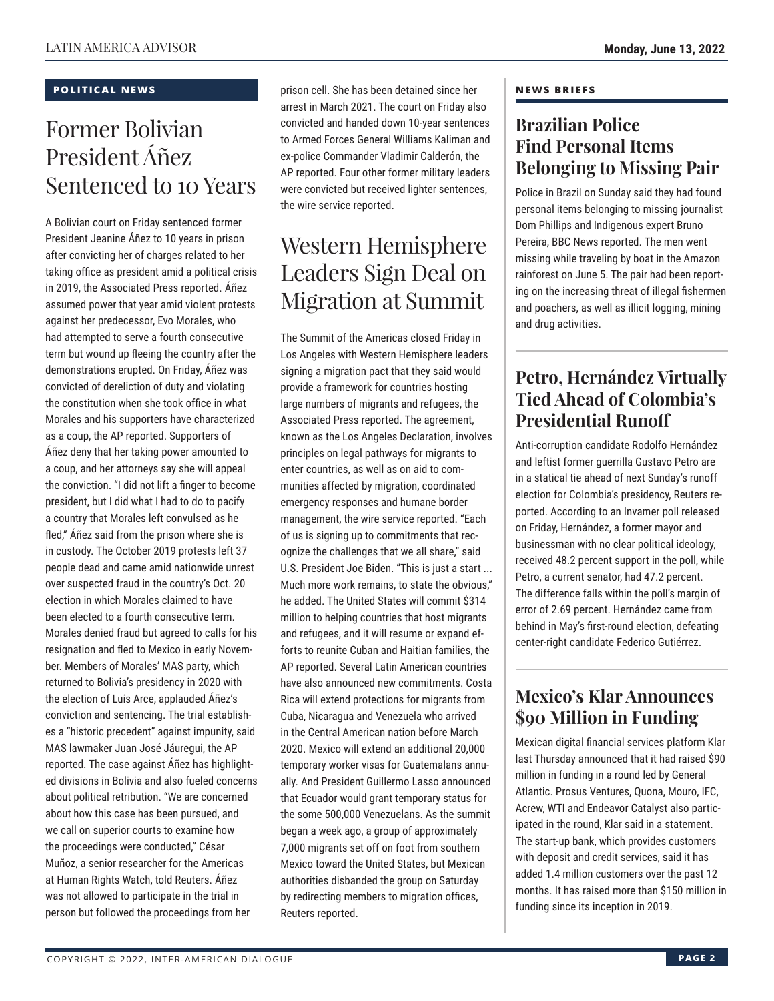#### **POLITICAL NEWS**

## Former Bolivian President Áñez Sentenced to 10 Years

A Bolivian court on Friday sentenced former President Jeanine Áñez to 10 years in prison after convicting her of charges related to her taking office as president amid a political crisis in 2019, the Associated Press reported. Áñez assumed power that year amid violent protests against her predecessor, Evo Morales, who had attempted to serve a fourth consecutive term but wound up fleeing the country after the demonstrations erupted. On Friday, Áñez was convicted of dereliction of duty and violating the constitution when she took office in what Morales and his supporters have characterized as a coup, the AP reported. Supporters of Áñez deny that her taking power amounted to a coup, and her attorneys say she will appeal the conviction. "I did not lift a finger to become president, but I did what I had to do to pacify a country that Morales left convulsed as he fled," Áñez said from the prison where she is in custody. The October 2019 protests left 37 people dead and came amid nationwide unrest over suspected fraud in the country's Oct. 20 election in which Morales claimed to have been elected to a fourth consecutive term. Morales denied fraud but agreed to calls for his resignation and fled to Mexico in early November. Members of Morales' MAS party, which returned to Bolivia's presidency in 2020 with the election of Luis Arce, applauded Áñez's conviction and sentencing. The trial establishes a "historic precedent" against impunity, said MAS lawmaker Juan José Jáuregui, the AP reported. The case against Áñez has highlighted divisions in Bolivia and also fueled concerns about political retribution. "We are concerned about how this case has been pursued, and we call on superior courts to examine how the proceedings were conducted," César Muñoz, a senior researcher for the Americas at Human Rights Watch, told Reuters. Áñez was not allowed to participate in the trial in person but followed the proceedings from her

prison cell. She has been detained since her arrest in March 2021. The court on Friday also convicted and handed down 10-year sentences to Armed Forces General Williams Kaliman and ex-police Commander Vladimir Calderón, the AP reported. Four other former military leaders were convicted but received lighter sentences, the wire service reported.

### Western Hemisphere Leaders Sign Deal on Migration at Summit

The Summit of the Americas closed Friday in Los Angeles with Western Hemisphere leaders signing a migration pact that they said would provide a framework for countries hosting large numbers of migrants and refugees, the Associated Press reported. The agreement, known as the Los Angeles Declaration, involves principles on legal pathways for migrants to enter countries, as well as on aid to communities affected by migration, coordinated emergency responses and humane border management, the wire service reported. "Each of us is signing up to commitments that recognize the challenges that we all share," said U.S. President Joe Biden. "This is just a start ... Much more work remains, to state the obvious," he added. The United States will commit \$314 million to helping countries that host migrants and refugees, and it will resume or expand efforts to reunite Cuban and Haitian families, the AP reported. Several Latin American countries have also announced new commitments. Costa Rica will extend protections for migrants from Cuba, Nicaragua and Venezuela who arrived in the Central American nation before March 2020. Mexico will extend an additional 20,000 temporary worker visas for Guatemalans annually. And President Guillermo Lasso announced that Ecuador would grant temporary status for the some 500,000 Venezuelans. As the summit began a week ago, a group of approximately 7,000 migrants set off on foot from southern Mexico toward the United States, but Mexican authorities disbanded the group on Saturday by redirecting members to migration offices, Reuters reported.

#### **NEWS BRIEFS**

### **Brazilian Police Find Personal Items Belonging to Missing Pair**

Police in Brazil on Sunday said they had found personal items belonging to missing journalist Dom Phillips and Indigenous expert Bruno Pereira, BBC News reported. The men went missing while traveling by boat in the Amazon rainforest on June 5. The pair had been reporting on the increasing threat of illegal fishermen and poachers, as well as illicit logging, mining and drug activities.

### **Petro, Hernández Virtually Tied Ahead of Colombia's Presidential Runoff**

Anti-corruption candidate Rodolfo Hernández and leftist former guerrilla Gustavo Petro are in a statical tie ahead of next Sunday's runoff election for Colombia's presidency, Reuters reported. According to an Invamer poll released on Friday, Hernández, a former mayor and businessman with no clear political ideology, received 48.2 percent support in the poll, while Petro, a current senator, had 47.2 percent. The difference falls within the poll's margin of error of 2.69 percent. Hernández came from behind in May's first-round election, defeating center-right candidate Federico Gutiérrez.

### **Mexico's Klar Announces \$90 Million in Funding**

Mexican digital financial services platform Klar last Thursday announced that it had raised \$90 million in funding in a round led by General Atlantic. Prosus Ventures, Quona, Mouro, IFC, Acrew, WTI and Endeavor Catalyst also participated in the round, Klar said in a statement. The start-up bank, which provides customers with deposit and credit services, said it has added 1.4 million customers over the past 12 months. It has raised more than \$150 million in funding since its inception in 2019.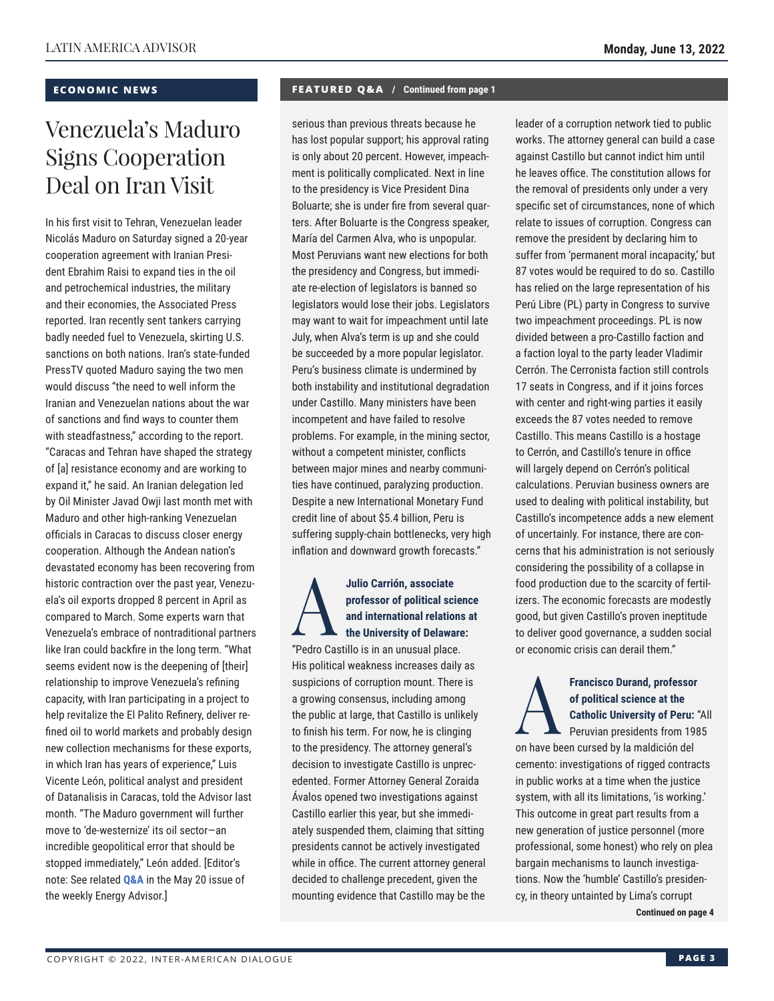#### **ECONOMIC NEWS**

### Venezuela's Maduro Signs Cooperation Deal on Iran Visit

In his first visit to Tehran, Venezuelan leader Nicolás Maduro on Saturday signed a 20-year cooperation agreement with Iranian President Ebrahim Raisi to expand ties in the oil and petrochemical industries, the military and their economies, the Associated Press reported. Iran recently sent tankers carrying badly needed fuel to Venezuela, skirting U.S. sanctions on both nations. Iran's state-funded PressTV quoted Maduro saying the two men would discuss "the need to well inform the Iranian and Venezuelan nations about the war of sanctions and find ways to counter them with steadfastness," according to the report. "Caracas and Tehran have shaped the strategy of [a] resistance economy and are working to expand it," he said. An Iranian delegation led by Oil Minister Javad Owji last month met with Maduro and other high-ranking Venezuelan officials in Caracas to discuss closer energy cooperation. Although the Andean nation's devastated economy has been recovering from historic contraction over the past year, Venezuela's oil exports dropped 8 percent in April as compared to March. Some experts warn that Venezuela's embrace of nontraditional partners like Iran could backfire in the long term. "What seems evident now is the deepening of [their] relationship to improve Venezuela's refining capacity, with Iran participating in a project to help revitalize the El Palito Refinery, deliver refined oil to world markets and probably design new collection mechanisms for these exports, in which Iran has years of experience," Luis Vicente León, political analyst and president of Datanalisis in Caracas, told the Advisor last month. "The Maduro government will further move to 'de-westernize' its oil sector—an incredible geopolitical error that should be stopped immediately," León added. [Editor's note: See related **[Q&A](https://www.thedialogue.org/wp-content/uploads/2022/05/LEA220520.pdf)** in the May 20 issue of the weekly Energy Advisor.]

#### **FEATURED Q&A / Continued from page 1**

serious than previous threats because he has lost popular support; his approval rating is only about 20 percent. However, impeachment is politically complicated. Next in line to the presidency is Vice President Dina Boluarte; she is under fire from several quarters. After Boluarte is the Congress speaker, María del Carmen Alva, who is unpopular. Most Peruvians want new elections for both the presidency and Congress, but immediate re-election of legislators is banned so legislators would lose their jobs. Legislators may want to wait for impeachment until late July, when Alva's term is up and she could be succeeded by a more popular legislator. Peru's business climate is undermined by both instability and institutional degradation under Castillo. Many ministers have been incompetent and have failed to resolve problems. For example, in the mining sector, without a competent minister, conflicts between major mines and nearby communities have continued, paralyzing production. Despite a new International Monetary Fund credit line of about \$5.4 billion, Peru is suffering supply-chain bottlenecks, very high inflation and downward growth forecasts."

#### Julio Carrión, associate<br>
professor of political sci<br>
and international relation<br>
"Podro Costillo in an unuqual place" **professor of political science and international relations at the University of Delaware:**

"Pedro Castillo is in an unusual place. His political weakness increases daily as suspicions of corruption mount. There is a growing consensus, including among the public at large, that Castillo is unlikely to finish his term. For now, he is clinging to the presidency. The attorney general's decision to investigate Castillo is unprecedented. Former Attorney General Zoraida Ávalos opened two investigations against Castillo earlier this year, but she immediately suspended them, claiming that sitting presidents cannot be actively investigated while in office. The current attorney general decided to challenge precedent, given the mounting evidence that Castillo may be the leader of a corruption network tied to public works. The attorney general can build a case against Castillo but cannot indict him until he leaves office. The constitution allows for the removal of presidents only under a very specific set of circumstances, none of which relate to issues of corruption. Congress can remove the president by declaring him to suffer from 'permanent moral incapacity,' but 87 votes would be required to do so. Castillo has relied on the large representation of his Perú Libre (PL) party in Congress to survive two impeachment proceedings. PL is now divided between a pro-Castillo faction and a faction loyal to the party leader Vladimir Cerrón. The Cerronista faction still controls 17 seats in Congress, and if it joins forces with center and right-wing parties it easily exceeds the 87 votes needed to remove Castillo. This means Castillo is a hostage to Cerrón, and Castillo's tenure in office will largely depend on Cerrón's political calculations. Peruvian business owners are used to dealing with political instability, but Castillo's incompetence adds a new element of uncertainly. For instance, there are concerns that his administration is not seriously considering the possibility of a collapse in food production due to the scarcity of fertilizers. The economic forecasts are modestly good, but given Castillo's proven ineptitude to deliver good governance, a sudden social or economic crisis can derail them."

### Francisco Durand, professor<br>of political science at the<br>catholic University of Peru:<br>Peruvian presidents from 198 **of political science at the Catholic University of Peru:** "All

Peruvian presidents from 1985 on have been cursed by la maldición del cemento: investigations of rigged contracts in public works at a time when the justice system, with all its limitations, 'is working.' This outcome in great part results from a new generation of justice personnel (more professional, some honest) who rely on plea bargain mechanisms to launch investigations. Now the 'humble' Castillo's presidency, in theory untainted by Lima's corrupt

**Continued on page 4**